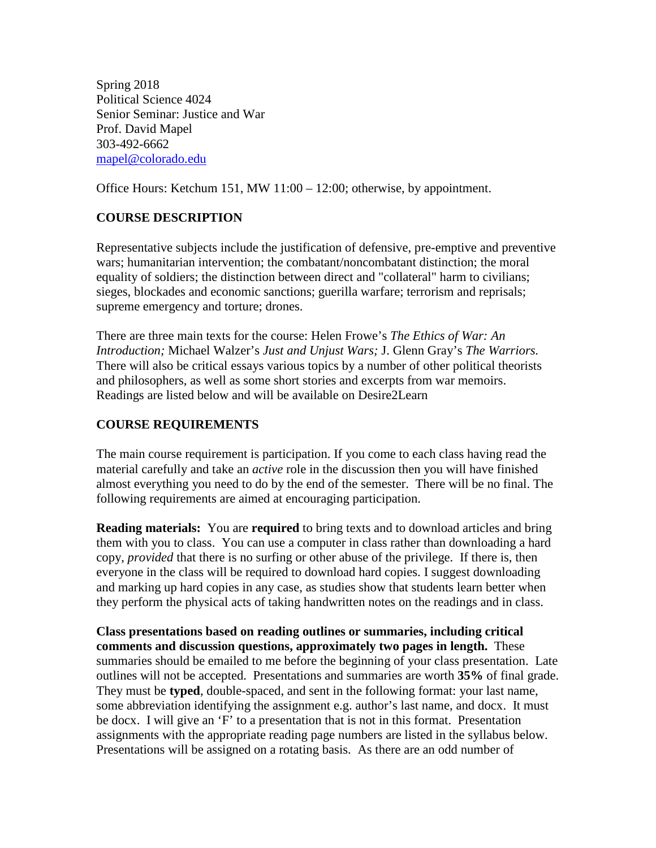Spring 2018 Political Science 4024 Senior Seminar: Justice and War Prof. David Mapel 303-492-6662 [mapel@colorado.edu](mailto:mapel@colorado.edu)

Office Hours: Ketchum 151, MW 11:00 – 12:00; otherwise, by appointment.

# **COURSE DESCRIPTION**

Representative subjects include the justification of defensive, pre-emptive and preventive wars; humanitarian intervention; the combatant/noncombatant distinction; the moral equality of soldiers; the distinction between direct and "collateral" harm to civilians; sieges, blockades and economic sanctions; guerilla warfare; terrorism and reprisals; supreme emergency and torture; drones.

There are three main texts for the course: Helen Frowe's *The Ethics of War: An Introduction;* Michael Walzer's *Just and Unjust Wars;* J. Glenn Gray's *The Warriors.*  There will also be critical essays various topics by a number of other political theorists and philosophers, as well as some short stories and excerpts from war memoirs. Readings are listed below and will be available on Desire2Learn

# **COURSE REQUIREMENTS**

The main course requirement is participation. If you come to each class having read the material carefully and take an *active* role in the discussion then you will have finished almost everything you need to do by the end of the semester. There will be no final. The following requirements are aimed at encouraging participation.

**Reading materials:** You are **required** to bring texts and to download articles and bring them with you to class. You can use a computer in class rather than downloading a hard copy, *provided* that there is no surfing or other abuse of the privilege. If there is, then everyone in the class will be required to download hard copies. I suggest downloading and marking up hard copies in any case, as studies show that students learn better when they perform the physical acts of taking handwritten notes on the readings and in class.

**Class presentations based on reading outlines or summaries, including critical comments and discussion questions, approximately two pages in length.** These summaries should be emailed to me before the beginning of your class presentation. Late outlines will not be accepted. Presentations and summaries are worth **35%** of final grade. They must be **typed**, double-spaced, and sent in the following format: your last name, some abbreviation identifying the assignment e.g. author's last name, and docx. It must be docx. I will give an 'F' to a presentation that is not in this format. Presentation assignments with the appropriate reading page numbers are listed in the syllabus below. Presentations will be assigned on a rotating basis. As there are an odd number of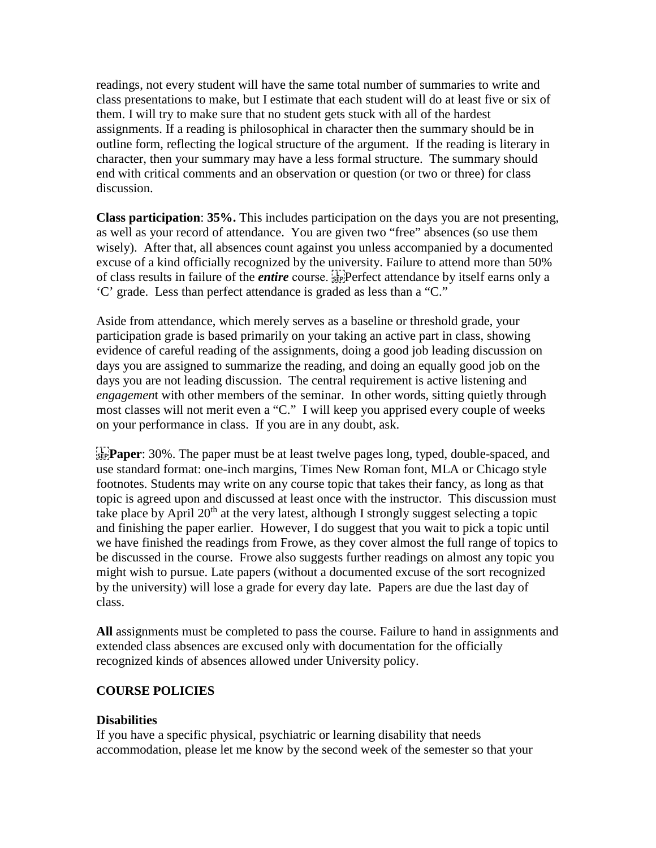readings, not every student will have the same total number of summaries to write and class presentations to make, but I estimate that each student will do at least five or six of them. I will try to make sure that no student gets stuck with all of the hardest assignments. If a reading is philosophical in character then the summary should be in outline form, reflecting the logical structure of the argument. If the reading is literary in character, then your summary may have a less formal structure. The summary should end with critical comments and an observation or question (or two or three) for class discussion.

**Class participation**: **35%.** This includes participation on the days you are not presenting, as well as your record of attendance. You are given two "free" absences (so use them wisely). After that, all absences count against you unless accompanied by a documented excuse of a kind officially recognized by the university. Failure to attend more than 50% of class results in failure of the *entire* course. Perfect attendance by itself earns only a 'C' grade. Less than perfect attendance is graded as less than a "C."

Aside from attendance, which merely serves as a baseline or threshold grade, your participation grade is based primarily on your taking an active part in class, showing evidence of careful reading of the assignments, doing a good job leading discussion on days you are assigned to summarize the reading, and doing an equally good job on the days you are not leading discussion. The central requirement is active listening and *engagement* with other members of the seminar. In other words, sitting quietly through most classes will not merit even a "C." I will keep you apprised every couple of weeks on your performance in class. If you are in any doubt, ask.

**EXECT:** 30%. The paper must be at least twelve pages long, typed, double-spaced, and use standard format: one-inch margins, Times New Roman font, MLA or Chicago style footnotes. Students may write on any course topic that takes their fancy, as long as that topic is agreed upon and discussed at least once with the instructor. This discussion must take place by April  $20<sup>th</sup>$  at the very latest, although I strongly suggest selecting a topic and finishing the paper earlier. However, I do suggest that you wait to pick a topic until we have finished the readings from Frowe, as they cover almost the full range of topics to be discussed in the course. Frowe also suggests further readings on almost any topic you might wish to pursue. Late papers (without a documented excuse of the sort recognized by the university) will lose a grade for every day late. Papers are due the last day of class.

**All** assignments must be completed to pass the course. Failure to hand in assignments and extended class absences are excused only with documentation for the officially recognized kinds of absences allowed under University policy.

### **COURSE POLICIES**

### **Disabilities**

If you have a specific physical, psychiatric or learning disability that needs accommodation, please let me know by the second week of the semester so that your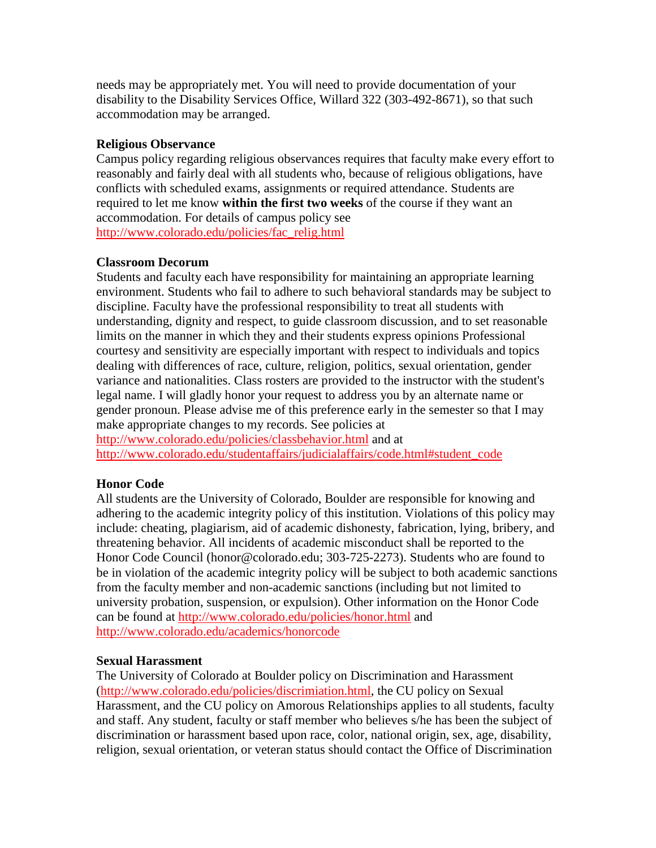needs may be appropriately met. You will need to provide documentation of your disability to the Disability Services Office, Willard 322 (303-492-8671), so that such accommodation may be arranged.

### **Religious Observance**

Campus policy regarding religious observances requires that faculty make every effort to reasonably and fairly deal with all students who, because of religious obligations, have conflicts with scheduled exams, assignments or required attendance. Students are required to let me know **within the first two weeks** of the course if they want an accommodation. For details of campus policy see [http://www.colorado.edu/policies/fac\\_relig.html](http://www.colorado.edu/policies/fac_relig.html)

### **Classroom Decorum**

Students and faculty each have responsibility for maintaining an appropriate learning environment. Students who fail to adhere to such behavioral standards may be subject to discipline. Faculty have the professional responsibility to treat all students with understanding, dignity and respect, to guide classroom discussion, and to set reasonable limits on the manner in which they and their students express opinions Professional courtesy and sensitivity are especially important with respect to individuals and topics dealing with differences of race, culture, religion, politics, sexual orientation, gender variance and nationalities. Class rosters are provided to the instructor with the student's legal name. I will gladly honor your request to address you by an alternate name or gender pronoun. Please advise me of this preference early in the semester so that I may make appropriate changes to my records. See policies at <http://www.colorado.edu/policies/classbehavior.html> and at

[http://www.colorado.edu/studentaffairs/judicialaffairs/code.html#student\\_code](http://www.colorado.edu/studentaffairs/judicialaffairs/code.html#student_code)

# **Honor Code**

All students are the University of Colorado, Boulder are responsible for knowing and adhering to the academic integrity policy of this institution. Violations of this policy may include: cheating, plagiarism, aid of academic dishonesty, fabrication, lying, bribery, and threatening behavior. All incidents of academic misconduct shall be reported to the Honor Code Council (honor@colorado.edu; 303-725-2273). Students who are found to be in violation of the academic integrity policy will be subject to both academic sanctions from the faculty member and non-academic sanctions (including but not limited to university probation, suspension, or expulsion). Other information on the Honor Code can be found at<http://www.colorado.edu/policies/honor.html> and <http://www.colorado.edu/academics/honorcode>

# **Sexual Harassment**

The University of Colorado at Boulder policy on Discrimination and Harassment [\(http://www.colorado.edu/policies/discrimiation.html,](http://www.colorado.edu/policies/discrimiation.html) the CU policy on Sexual Harassment, and the CU policy on Amorous Relationships applies to all students, faculty and staff. Any student, faculty or staff member who believes s/he has been the subject of discrimination or harassment based upon race, color, national origin, sex, age, disability, religion, sexual orientation, or veteran status should contact the Office of Discrimination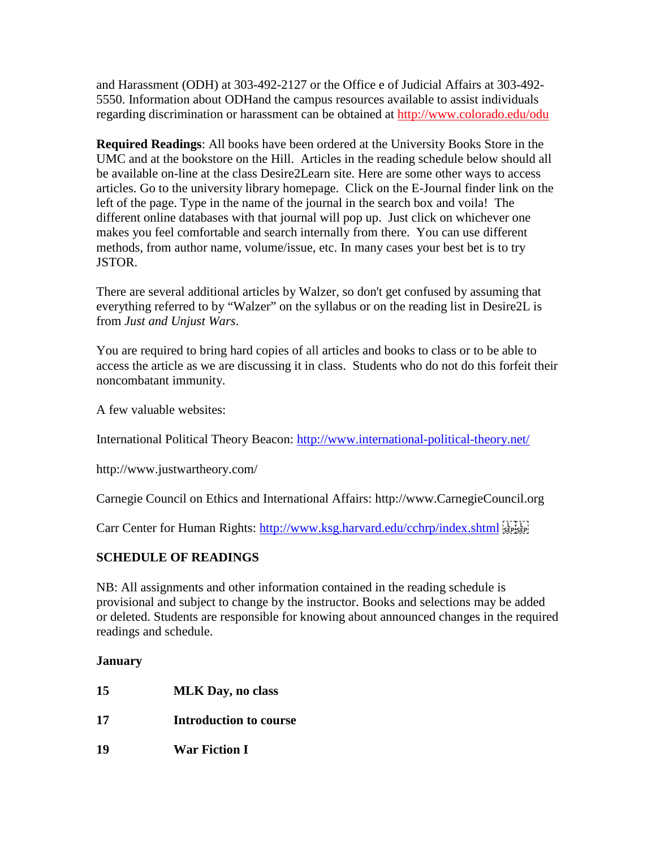and Harassment (ODH) at 303-492-2127 or the Office e of Judicial Affairs at 303-492- 5550. Information about ODHand the campus resources available to assist individuals regarding discrimination or harassment can be obtained at<http://www.colorado.edu/odu>

**Required Readings**: All books have been ordered at the University Books Store in the UMC and at the bookstore on the Hill. Articles in the reading schedule below should all be available on-line at the class Desire2Learn site. Here are some other ways to access articles. Go to the university library homepage. Click on the E-Journal finder link on the left of the page. Type in the name of the journal in the search box and voila! The different online databases with that journal will pop up. Just click on whichever one makes you feel comfortable and search internally from there. You can use different methods, from author name, volume/issue, etc. In many cases your best bet is to try JSTOR.

There are several additional articles by Walzer*,* so don't get confused by assuming that everything referred to by "Walzer" on the syllabus or on the reading list in Desire2L is from *Just and Unjust Wars*.

You are required to bring hard copies of all articles and books to class or to be able to access the article as we are discussing it in class. Students who do not do this forfeit their noncombatant immunity.

A few valuable websites:

International Political Theory Beacon:<http://www.international-political-theory.net/>

http://www.justwartheory.com/

Carnegie Council on Ethics and International Affairs: http://www.CarnegieCouncil.org

Carr Center for Human Rights:<http://www.ksg.harvard.edu/cchrp/index.shtml> [1771]

# **SCHEDULE OF READINGS**

NB: All assignments and other information contained in the reading schedule is provisional and subject to change by the instructor. Books and selections may be added or deleted. Students are responsible for knowing about announced changes in the required readings and schedule.

# **January**

**15 MLK Day, no class 17 Introduction to course 19 War Fiction I**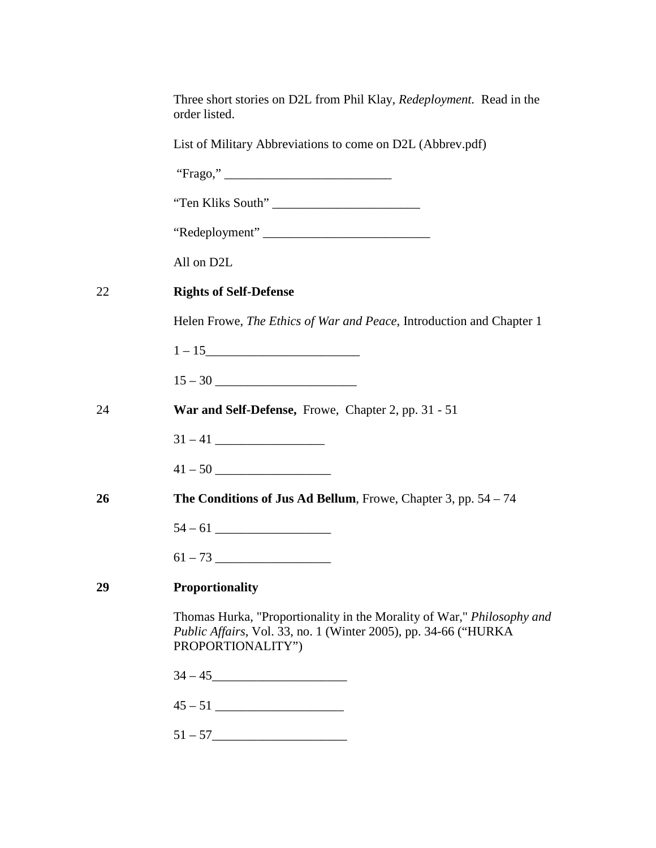|    | Three short stories on D2L from Phil Klay, <i>Redeployment</i> . Read in the<br>order listed.                                                                  |
|----|----------------------------------------------------------------------------------------------------------------------------------------------------------------|
|    | List of Military Abbreviations to come on D2L (Abbrev.pdf)                                                                                                     |
|    |                                                                                                                                                                |
|    | "Ten Kliks South"                                                                                                                                              |
|    | "Redeployment"                                                                                                                                                 |
|    | All on D2L                                                                                                                                                     |
| 22 | <b>Rights of Self-Defense</b>                                                                                                                                  |
|    | Helen Frowe, <i>The Ethics of War and Peace</i> , Introduction and Chapter 1                                                                                   |
|    |                                                                                                                                                                |
|    |                                                                                                                                                                |
| 24 | War and Self-Defense, Frowe, Chapter 2, pp. 31 - 51                                                                                                            |
|    |                                                                                                                                                                |
|    |                                                                                                                                                                |
| 26 | The Conditions of Jus Ad Bellum, Frowe, Chapter 3, pp. $54 - 74$                                                                                               |
|    |                                                                                                                                                                |
|    |                                                                                                                                                                |
| 29 | <b>Proportionality</b>                                                                                                                                         |
|    | Thomas Hurka, "Proportionality in the Morality of War," Philosophy and<br>Public Affairs, Vol. 33, no. 1 (Winter 2005), pp. 34-66 ("HURKA<br>PROPORTIONALITY") |
|    | $34 - 45$                                                                                                                                                      |
|    |                                                                                                                                                                |
|    |                                                                                                                                                                |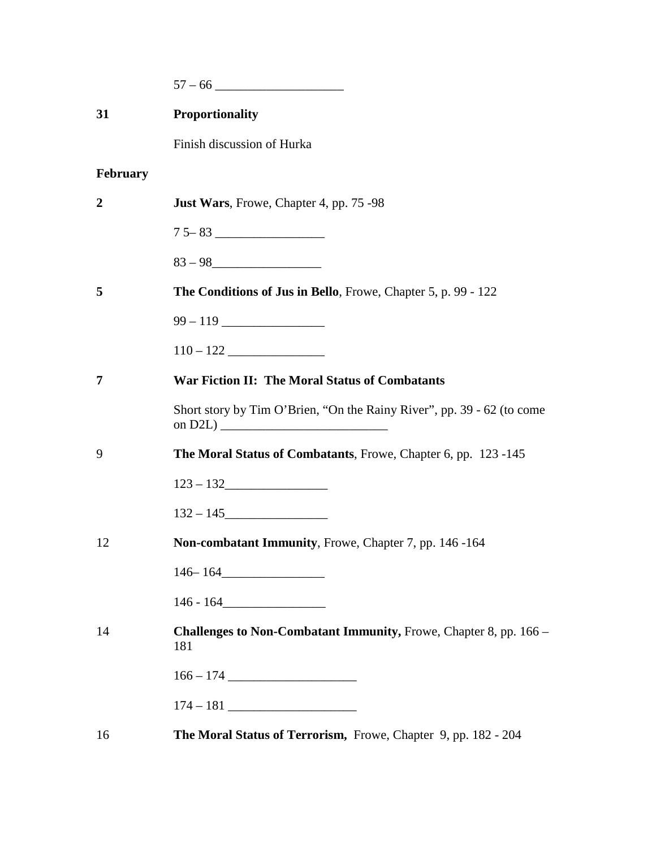| 31               | Proportionality                                                          |
|------------------|--------------------------------------------------------------------------|
|                  | Finish discussion of Hurka                                               |
| <b>February</b>  |                                                                          |
| $\boldsymbol{2}$ | <b>Just Wars</b> , Frowe, Chapter 4, pp. 75 -98                          |
|                  |                                                                          |
|                  | $83 - 98$                                                                |
| 5                | The Conditions of Jus in Bello, Frowe, Chapter 5, p. 99 - 122            |
|                  |                                                                          |
|                  | $110 - 122$                                                              |
| 7                | <b>War Fiction II: The Moral Status of Combatants</b>                    |
|                  | Short story by Tim O'Brien, "On the Rainy River", pp. 39 - 62 (to come   |
| 9                | The Moral Status of Combatants, Frowe, Chapter 6, pp. 123 -145           |
|                  | $123 - 132$                                                              |
|                  | $132 - 145$                                                              |
| 12               | Non-combatant Immunity, Frowe, Chapter 7, pp. 146 -164                   |
|                  | $146 - 164$                                                              |
|                  | $146 - 164$                                                              |
| 14               | Challenges to Non-Combatant Immunity, Frowe, Chapter 8, pp. 166 -<br>181 |
|                  |                                                                          |
|                  |                                                                          |
| 16               | The Moral Status of Terrorism, Frowe, Chapter 9, pp. 182 - 204           |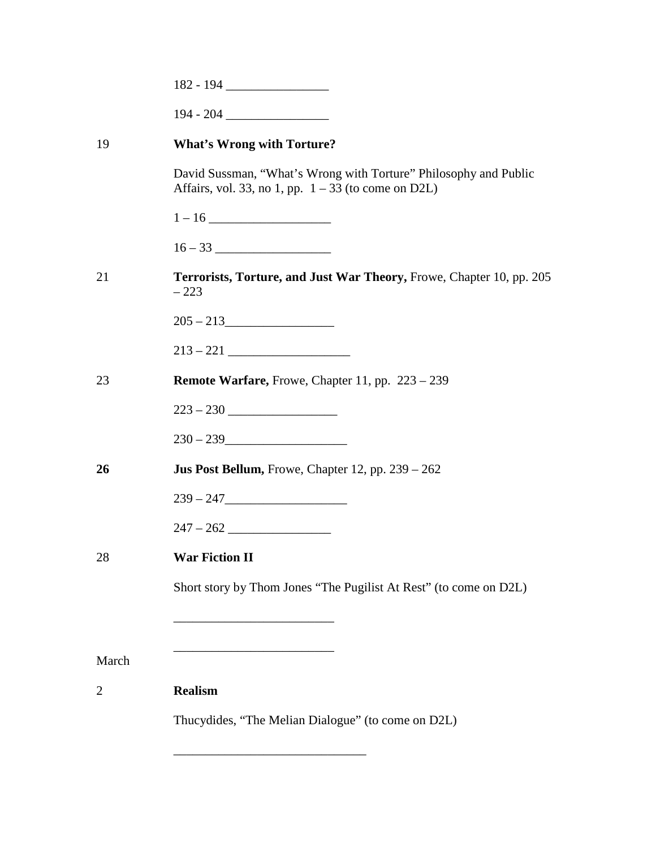| 19             | <b>What's Wrong with Torture?</b>                                                                                         |
|----------------|---------------------------------------------------------------------------------------------------------------------------|
|                | David Sussman, "What's Wrong with Torture" Philosophy and Public<br>Affairs, vol. 33, no 1, pp. $1 - 33$ (to come on D2L) |
|                |                                                                                                                           |
|                |                                                                                                                           |
| 21             | Terrorists, Torture, and Just War Theory, Frowe, Chapter 10, pp. 205<br>$-223$                                            |
|                | $205 - 213$                                                                                                               |
|                |                                                                                                                           |
| 23             | <b>Remote Warfare, Frowe, Chapter 11, pp. 223 - 239</b>                                                                   |
|                | $223 - 230$                                                                                                               |
|                | $230 - 239$                                                                                                               |
| 26             | <b>Jus Post Bellum, Frowe, Chapter 12, pp. 239 - 262</b>                                                                  |
|                | $239 - 247$                                                                                                               |
|                | $247 - 262$                                                                                                               |
| 28             | <b>War Fiction II</b>                                                                                                     |
|                | Short story by Thom Jones "The Pugilist At Rest" (to come on D2L)                                                         |
|                |                                                                                                                           |
| March          |                                                                                                                           |
| $\overline{c}$ | <b>Realism</b>                                                                                                            |
|                | Thucydides, "The Melian Dialogue" (to come on D2L)                                                                        |
|                |                                                                                                                           |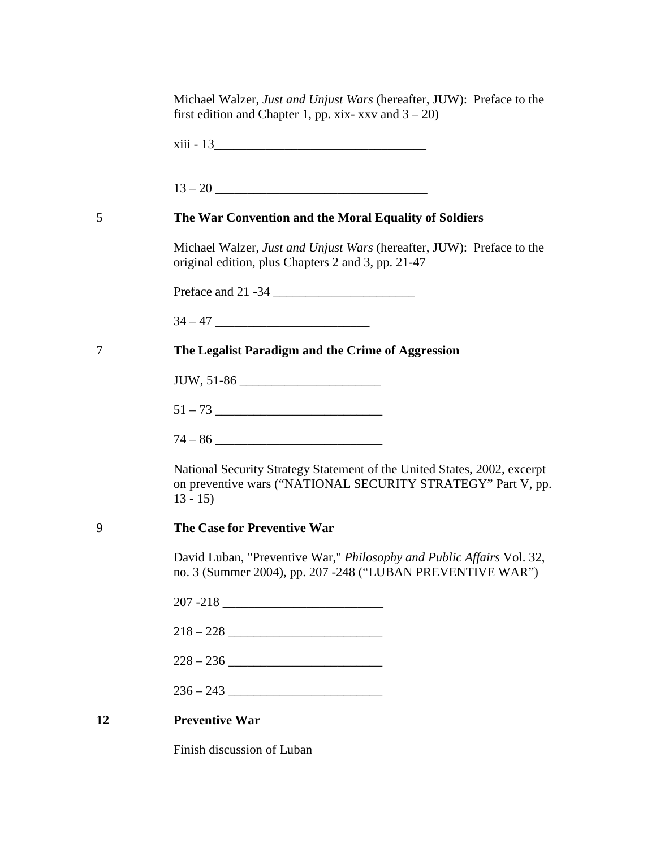|    | Michael Walzer, Just and Unjust Wars (hereafter, JUW): Preface to the<br>first edition and Chapter 1, pp. xix- xxv and $3 - 20$ )                     |
|----|-------------------------------------------------------------------------------------------------------------------------------------------------------|
|    |                                                                                                                                                       |
|    |                                                                                                                                                       |
| 5  | The War Convention and the Moral Equality of Soldiers                                                                                                 |
|    | Michael Walzer, Just and Unjust Wars (hereafter, JUW): Preface to the<br>original edition, plus Chapters 2 and 3, pp. 21-47                           |
|    |                                                                                                                                                       |
|    |                                                                                                                                                       |
| 7  | The Legalist Paradigm and the Crime of Aggression                                                                                                     |
|    | JUW, 51-86                                                                                                                                            |
|    |                                                                                                                                                       |
|    |                                                                                                                                                       |
|    | National Security Strategy Statement of the United States, 2002, excerpt<br>on preventive wars ("NATIONAL SECURITY STRATEGY" Part V, pp.<br>$13 - 15$ |
| 9  | The Case for Preventive War                                                                                                                           |
|    | David Luban, "Preventive War," Philosophy and Public Affairs Vol. 32,<br>no. 3 (Summer 2004), pp. 207 -248 ("LUBAN PREVENTIVE WAR")                   |
|    |                                                                                                                                                       |
|    |                                                                                                                                                       |
|    |                                                                                                                                                       |
|    |                                                                                                                                                       |
| 12 | <b>Preventive War</b>                                                                                                                                 |
|    |                                                                                                                                                       |

Finish discussion of Luban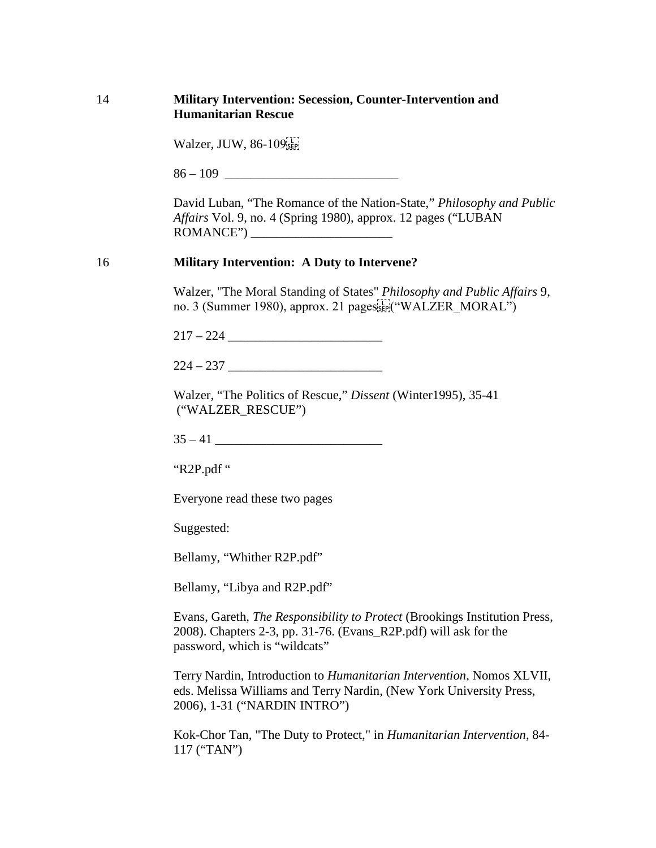### 14 **Military Intervention: Secession, Counter-Intervention and Humanitarian Rescue**

|  |  | Walzer, JUW, $86-109$ <sup>[1]</sup> |
|--|--|--------------------------------------|
|--|--|--------------------------------------|

 $86 - 109$ 

David Luban, "The Romance of the Nation-State," *Philosophy and Public Affairs* Vol. 9, no. 4 (Spring 1980), approx. 12 pages ("LUBAN ROMANCE") \_\_\_\_\_\_\_\_\_\_\_\_\_\_\_\_\_\_\_\_\_\_

### 16 **Military Intervention: A Duty to Intervene?**

Walzer, ["The Moral Standing of States"](http://links.jstor.org/sici?sici=0048-3915%28198021%299%3A3%3C209%3ATMSOSA%3E2.0.CO%3B2-G) *Philosophy and Public Affairs* 9, no. 3 (Summer 1980), approx. 21 pages see ("WALZER MORAL")

217 – 224 \_\_\_\_\_\_\_\_\_\_\_\_\_\_\_\_\_\_\_\_\_\_\_\_

224 – 237 \_\_\_\_\_\_\_\_\_\_\_\_\_\_\_\_\_\_\_\_\_\_\_\_

Walzer, "The Politics of Rescue," *Dissent* (Winter1995), 35-41 ("WALZER\_RESCUE")

35 – 41 \_\_\_\_\_\_\_\_\_\_\_\_\_\_\_\_\_\_\_\_\_\_\_\_\_\_

"R2P.pdf "

Everyone read these two pages

Suggested:

Bellamy, "Whither R2P.pdf"

Bellamy, "Libya and R2P.pdf"

Evans, Gareth, *The Responsibility to Protect* (Brookings Institution Press, 2008). Chapters 2-3, pp. 31-76. (Evans\_R2P.pdf) will ask for the password, which is "wildcats"

Terry Nardin, Introduction to *Humanitarian Intervention*, Nomos XLVII, eds. Melissa Williams and Terry Nardin, (New York University Press, 2006), 1-31 ("NARDIN INTRO")

Kok-Chor Tan, "The Duty to Protect," in *Humanitarian Intervention*, 84- 117 ("TAN")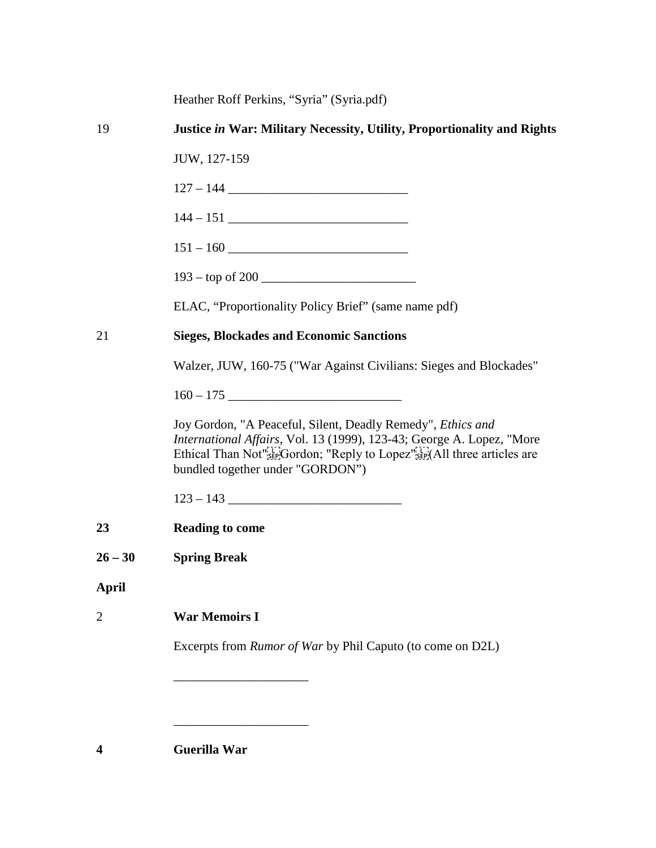19 **Justice** *in* **War: Military Necessity, Utility, Proportionality and Rights** JUW, 127-159 127 – 144 \_\_\_\_\_\_\_\_\_\_\_\_\_\_\_\_\_\_\_\_\_\_\_\_\_\_\_\_ 144 – 151 \_\_\_\_\_\_\_\_\_\_\_\_\_\_\_\_\_\_\_\_\_\_\_\_\_\_\_\_ 151 – 160 \_\_\_\_\_\_\_\_\_\_\_\_\_\_\_\_\_\_\_\_\_\_\_\_\_\_\_\_  $193 -$  top of 200 ELAC, "Proportionality Policy Brief" (same name pdf) 21 **Sieges, Blockades and Economic Sanctions** Walzer, JUW, 160-75 ("War Against Civilians: Sieges and Blockades"  $160 - 175$ Joy Gordon, "A Peaceful, Silent, Deadly Remedy", *Ethics and International Affairs*, Vol. 13 (1999), 123-43; George A. Lopez, "More Ethical Than Not"<sup>5</sup> EP<sup>(</sup>Gordon; "Reply to Lopez"<sup>5</sup> EP<sup>(Triv</sup>)(All three articles are bundled together under "GORDON") 123 – 143 \_\_\_\_\_\_\_\_\_\_\_\_\_\_\_\_\_\_\_\_\_\_\_\_\_\_\_ **23 Reading to come 26 – 30 Spring Break April** 2 **War Memoirs I** Excerpts from *Rumor of War* by Phil Caputo (to come on D2L) \_\_\_\_\_\_\_\_\_\_\_\_\_\_\_\_\_\_\_\_\_ \_\_\_\_\_\_\_\_\_\_\_\_\_\_\_\_\_\_\_\_\_ **4 Guerilla War**

Heather Roff Perkins, "Syria" (Syria.pdf)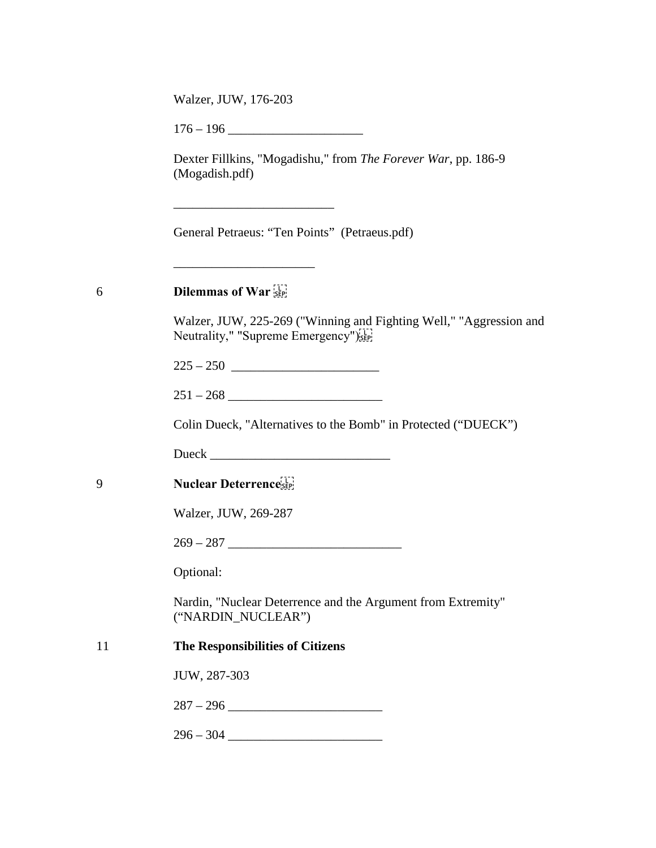Walzer, JUW, 176-203

 $176 - 196$ 

\_\_\_\_\_\_\_\_\_\_\_\_\_\_\_\_\_\_\_\_\_\_\_\_\_

 $\overline{\phantom{a}}$  , we can assume that the contract of  $\overline{\phantom{a}}$ 

Dexter Fillkins, "Mogadishu," from *The Forever War*, pp. 186-9 (Mogadish.pdf)

General Petraeus: "Ten Points" (Petraeus.pdf)

# 6 **Dilemmas of War**

Walzer, JUW, 225-269 ("Winning and Fighting Well," "Aggression and Neutrality," "Supreme Emergency")<sup>[17]</sup>

 $225 - 250$ 

| - 0<br>$\overline{\phantom{0}}$<br>÷ |  |
|--------------------------------------|--|
|--------------------------------------|--|

Colin Dueck, "Alternatives to the Bomb" in Protected ("DUECK")

Dueck \_\_\_\_\_\_\_\_\_\_\_\_\_\_\_\_\_\_\_\_\_\_\_\_\_\_\_\_

9 **Nuclear Deterrence**

Walzer, JUW, 269-287

 $269 - 287$ 

Optional:

Nardin, "Nuclear Deterrence and the Argument from Extremity" ("NARDIN\_NUCLEAR")

### 11 **The Responsibilities of Citizens**

JUW, 287-303

287 – 296 \_\_\_\_\_\_\_\_\_\_\_\_\_\_\_\_\_\_\_\_\_\_\_\_

296 – 304 \_\_\_\_\_\_\_\_\_\_\_\_\_\_\_\_\_\_\_\_\_\_\_\_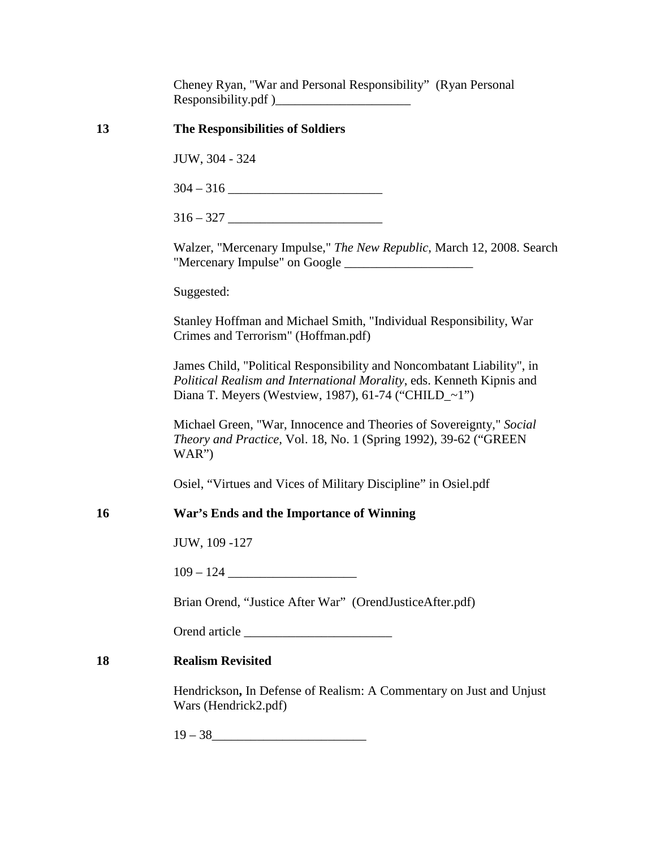Cheney Ryan, "War and Personal Responsibility" (Ryan Personal Responsibility.pdf )\_\_\_\_\_\_\_\_\_\_\_\_\_\_\_\_\_\_\_\_\_

| 13 | <b>The Responsibilities of Soldiers</b>                                                                                                                                                                 |
|----|---------------------------------------------------------------------------------------------------------------------------------------------------------------------------------------------------------|
|    | JUW, 304 - 324                                                                                                                                                                                          |
|    |                                                                                                                                                                                                         |
|    |                                                                                                                                                                                                         |
|    | Walzer, "Mercenary Impulse," The New Republic, March 12, 2008. Search                                                                                                                                   |
|    | Suggested:                                                                                                                                                                                              |
|    | Stanley Hoffman and Michael Smith, "Individual Responsibility, War<br>Crimes and Terrorism" (Hoffman.pdf)                                                                                               |
|    | James Child, "Political Responsibility and Noncombatant Liability", in<br>Political Realism and International Morality, eds. Kenneth Kipnis and<br>Diana T. Meyers (Westview, 1987), 61-74 ("CHILD_~1") |
|    | Michael Green, "War, Innocence and Theories of Sovereignty," Social<br>Theory and Practice, Vol. 18, No. 1 (Spring 1992), 39-62 ("GREEN<br>WAR'                                                         |
|    | Osiel, "Virtues and Vices of Military Discipline" in Osiel.pdf                                                                                                                                          |
| 16 | War's Ends and the Importance of Winning                                                                                                                                                                |
|    | JUW, 109 -127                                                                                                                                                                                           |
|    |                                                                                                                                                                                                         |
|    | Brian Orend, "Justice After War" (OrendJusticeAfter.pdf)                                                                                                                                                |
|    | Orend article                                                                                                                                                                                           |
| 18 | <b>Realism Revisited</b>                                                                                                                                                                                |
|    | Hendrickson, In Defense of Realism: A Commentary on Just and Unjust<br>Wars (Hendrick2.pdf)                                                                                                             |
|    | $19-38$                                                                                                                                                                                                 |
|    |                                                                                                                                                                                                         |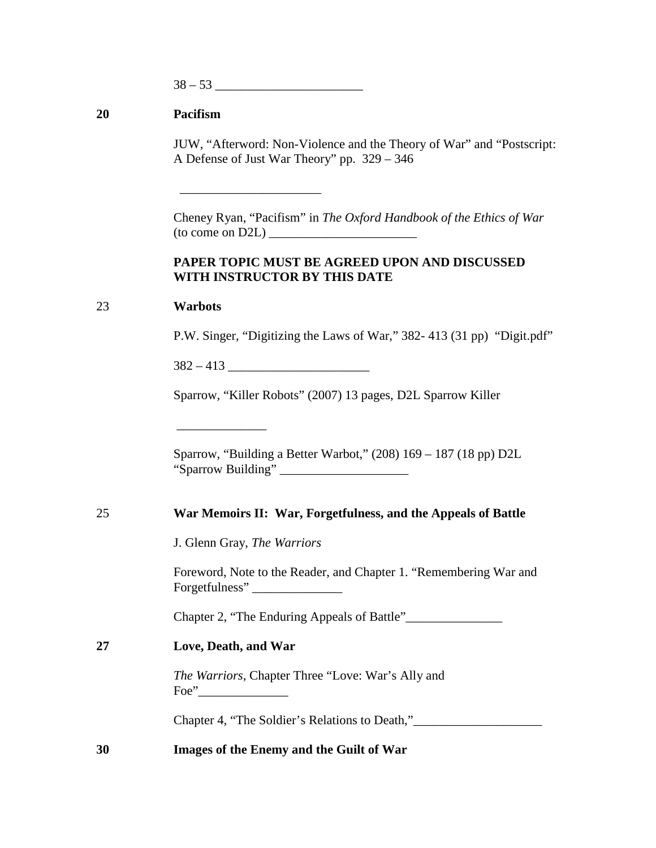$38 - 53$ 

## **20 Pacifism**

JUW, "Afterword: Non-Violence and the Theory of War" and "Postscript: A Defense of Just War Theory" pp. 329 – 346

Cheney Ryan, "Pacifism" in *The Oxford Handbook of the Ethics of War*  $(to come on D2L)$ 

### **PAPER TOPIC MUST BE AGREED UPON AND DISCUSSED WITH INSTRUCTOR BY THIS DATE**

### 23 **Warbots**

P.W. Singer, "Digitizing the Laws of War," 382- 413 (31 pp) "Digit.pdf"

 $382 - 413$ 

\_\_\_\_\_\_\_\_\_\_\_\_\_\_

 $\overline{\phantom{a}}$  , which is a set of the set of the set of the set of the set of the set of the set of the set of the set of the set of the set of the set of the set of the set of the set of the set of the set of the set of th

Sparrow, "Killer Robots" (2007) 13 pages, D2L Sparrow Killer

Sparrow, "Building a Better Warbot," (208) 169 – 187 (18 pp) D2L "Sparrow Building" \_\_\_\_\_\_\_\_\_\_\_\_\_\_\_\_\_\_\_\_

### 25 **War Memoirs II: War, Forgetfulness, and the Appeals of Battle**

J. Glenn Gray, *The Warriors*

Foreword, Note to the Reader, and Chapter 1. "Remembering War and Forgetfulness"

Chapter 2, "The Enduring Appeals of Battle"\_\_\_\_\_\_\_\_\_\_\_\_\_\_\_

### **27 Love, Death, and War**

*The Warriors*, Chapter Three "Love: War's Ally and Foe"

Chapter 4, "The Soldier's Relations to Death,"\_\_\_\_\_\_\_\_\_\_\_\_\_\_\_\_\_\_\_\_\_\_\_\_\_\_\_\_\_\_\_\_\_\_\_

### **30 Images of the Enemy and the Guilt of War**